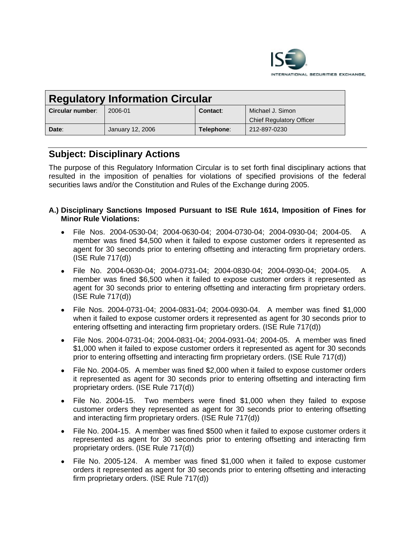

| <b>Regulatory Information Circular</b> |                  |            |                                 |
|----------------------------------------|------------------|------------|---------------------------------|
| <b>Circular number:</b>                | 2006-01          | Contact:   | Michael J. Simon                |
|                                        |                  |            | <b>Chief Regulatory Officer</b> |
| Date:                                  | January 12, 2006 | Telephone: | 212-897-0230                    |

# **Subject: Disciplinary Actions**

The purpose of this Regulatory Information Circular is to set forth final disciplinary actions that resulted in the imposition of penalties for violations of specified provisions of the federal securities laws and/or the Constitution and Rules of the Exchange during 2005.

# **A.) Disciplinary Sanctions Imposed Pursuant to ISE Rule 1614, Imposition of Fines for Minor Rule Violations:**

- File Nos. 2004-0530-04; 2004-0630-04; 2004-0730-04; 2004-0930-04; 2004-05. A member was fined \$4,500 when it failed to expose customer orders it represented as agent for 30 seconds prior to entering offsetting and interacting firm proprietary orders. (ISE Rule 717(d))
- File No. 2004-0630-04; 2004-0731-04; 2004-0830-04; 2004-0930-04; 2004-05. A member was fined \$6,500 when it failed to expose customer orders it represented as agent for 30 seconds prior to entering offsetting and interacting firm proprietary orders. (ISE Rule 717(d))
- File Nos. 2004-0731-04; 2004-0831-04; 2004-0930-04. A member was fined \$1,000 when it failed to expose customer orders it represented as agent for 30 seconds prior to entering offsetting and interacting firm proprietary orders. (ISE Rule 717(d))
- File Nos. 2004-0731-04; 2004-0831-04; 2004-0931-04; 2004-05. A member was fined \$1,000 when it failed to expose customer orders it represented as agent for 30 seconds prior to entering offsetting and interacting firm proprietary orders. (ISE Rule 717(d))
- File No. 2004-05. A member was fined \$2,000 when it failed to expose customer orders it represented as agent for 30 seconds prior to entering offsetting and interacting firm proprietary orders. (ISE Rule 717(d))
- File No. 2004-15. Two members were fined \$1,000 when they failed to expose customer orders they represented as agent for 30 seconds prior to entering offsetting and interacting firm proprietary orders. (ISE Rule 717(d))
- File No. 2004-15. A member was fined \$500 when it failed to expose customer orders it represented as agent for 30 seconds prior to entering offsetting and interacting firm proprietary orders. (ISE Rule 717(d))
- File No. 2005-124. A member was fined \$1,000 when it failed to expose customer orders it represented as agent for 30 seconds prior to entering offsetting and interacting firm proprietary orders. (ISE Rule 717(d))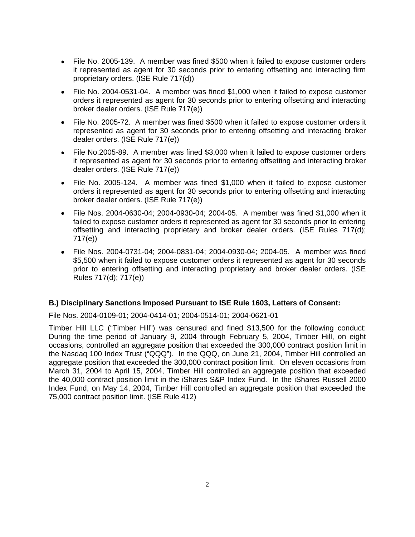- File No. 2005-139. A member was fined \$500 when it failed to expose customer orders it represented as agent for 30 seconds prior to entering offsetting and interacting firm proprietary orders. (ISE Rule 717(d))
- File No. 2004-0531-04. A member was fined \$1,000 when it failed to expose customer orders it represented as agent for 30 seconds prior to entering offsetting and interacting broker dealer orders. (ISE Rule 717(e))
- File No. 2005-72. A member was fined \$500 when it failed to expose customer orders it represented as agent for 30 seconds prior to entering offsetting and interacting broker dealer orders. (ISE Rule 717(e))
- File No.2005-89. A member was fined \$3,000 when it failed to expose customer orders it represented as agent for 30 seconds prior to entering offsetting and interacting broker dealer orders. (ISE Rule 717(e))
- File No. 2005-124. A member was fined \$1,000 when it failed to expose customer orders it represented as agent for 30 seconds prior to entering offsetting and interacting broker dealer orders. (ISE Rule 717(e))
- File Nos. 2004-0630-04; 2004-0930-04; 2004-05. A member was fined \$1,000 when it failed to expose customer orders it represented as agent for 30 seconds prior to entering offsetting and interacting proprietary and broker dealer orders. (ISE Rules 717(d); 717(e))
- File Nos. 2004-0731-04; 2004-0831-04; 2004-0930-04; 2004-05. A member was fined \$5,500 when it failed to expose customer orders it represented as agent for 30 seconds prior to entering offsetting and interacting proprietary and broker dealer orders. (ISE Rules 717(d); 717(e))

## **B.) Disciplinary Sanctions Imposed Pursuant to ISE Rule 1603, Letters of Consent:**

File Nos. 2004-0109-01; 2004-0414-01; 2004-0514-01; 2004-0621-01

Timber Hill LLC ("Timber Hill") was censured and fined \$13,500 for the following conduct: During the time period of January 9, 2004 through February 5, 2004, Timber Hill, on eight occasions, controlled an aggregate position that exceeded the 300,000 contract position limit in the Nasdaq 100 Index Trust ("QQQ"). In the QQQ, on June 21, 2004, Timber Hill controlled an aggregate position that exceeded the 300,000 contract position limit. On eleven occasions from March 31, 2004 to April 15, 2004, Timber Hill controlled an aggregate position that exceeded the 40,000 contract position limit in the iShares S&P Index Fund. In the iShares Russell 2000 Index Fund, on May 14, 2004, Timber Hill controlled an aggregate position that exceeded the 75,000 contract position limit. (ISE Rule 412)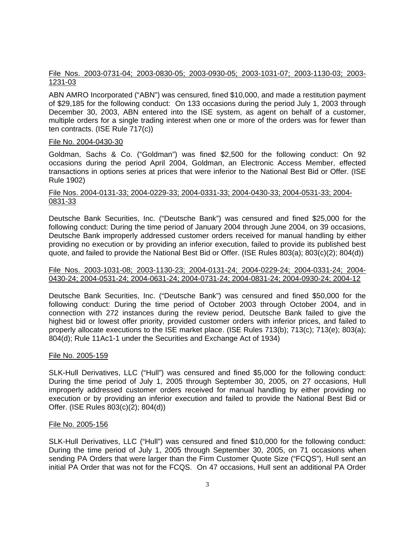# File Nos. 2003-0731-04; 2003-0830-05; 2003-0930-05; 2003-1031-07; 2003-1130-03; 2003- 1231-03

ABN AMRO Incorporated ("ABN") was censured, fined \$10,000, and made a restitution payment of \$29,185 for the following conduct: On 133 occasions during the period July 1, 2003 through December 30, 2003, ABN entered into the ISE system, as agent on behalf of a customer, multiple orders for a single trading interest when one or more of the orders was for fewer than ten contracts. (ISE Rule 717(c))

#### File No. 2004-0430-30

Goldman, Sachs & Co. ("Goldman") was fined \$2,500 for the following conduct: On 92 occasions during the period April 2004, Goldman, an Electronic Access Member, effected transactions in options series at prices that were inferior to the National Best Bid or Offer. (ISE Rule 1902)

#### File Nos. 2004-0131-33; 2004-0229-33; 2004-0331-33; 2004-0430-33; 2004-0531-33; 2004- 0831-33

Deutsche Bank Securities, Inc. ("Deutsche Bank") was censured and fined \$25,000 for the following conduct: During the time period of January 2004 through June 2004, on 39 occasions, Deutsche Bank improperly addressed customer orders received for manual handling by either providing no execution or by providing an inferior execution, failed to provide its published best quote, and failed to provide the National Best Bid or Offer. (ISE Rules 803(a); 803(c)(2); 804(d))

#### File Nos. 2003-1031-08; 2003-1130-23; 2004-0131-24; 2004-0229-24; 2004-0331-24; 2004- 0430-24; 2004-0531-24; 2004-0631-24; 2004-0731-24; 2004-0831-24; 2004-0930-24; 2004-12

Deutsche Bank Securities, Inc. ("Deutsche Bank") was censured and fined \$50,000 for the following conduct: During the time period of October 2003 through October 2004, and in connection with 272 instances during the review period, Deutsche Bank failed to give the highest bid or lowest offer priority, provided customer orders with inferior prices, and failed to properly allocate executions to the ISE market place. (ISE Rules 713(b); 713(c); 713(e); 803(a); 804(d); Rule 11Ac1-1 under the Securities and Exchange Act of 1934)

## File No. 2005-159

SLK-Hull Derivatives, LLC ("Hull") was censured and fined \$5,000 for the following conduct: During the time period of July 1, 2005 through September 30, 2005, on 27 occasions, Hull improperly addressed customer orders received for manual handling by either providing no execution or by providing an inferior execution and failed to provide the National Best Bid or Offer. (ISE Rules 803(c)(2); 804(d))

#### File No. 2005-156

SLK-Hull Derivatives, LLC ("Hull") was censured and fined \$10,000 for the following conduct: During the time period of July 1, 2005 through September 30, 2005, on 71 occasions when sending PA Orders that were larger than the Firm Customer Quote Size ("FCQS"), Hull sent an initial PA Order that was not for the FCQS. On 47 occasions, Hull sent an additional PA Order